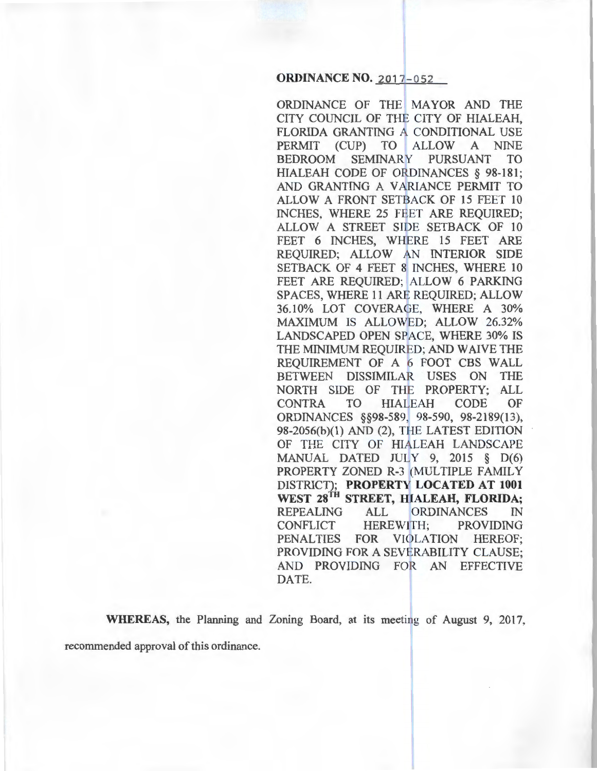## **ORDINANCE NO. 2017-052**

ORDINANCE OF THE MAYOR AND THE CITY COUNCIL OF THE CITY OF HIALEAH, FLORIDA GRANTING A CONDITIONAL USE PERMIT (CUP) TO ALLOW A NINE BEDROOM SEMINARY PURSUANT TO HIALEAH CODE OF ORDINANCES § 98-181; AND GRANTING A VARIANCE PERMIT TO ALLOW A FRONT SETBACK OF 15 FEET 10 INCHES, WHERE 25 FEET ARE REQUIRED; ALLOW A STREET SIDE SETBACK OF 10 FEET 6 INCHES, WHERE 15 FEET ARE REQUIRED; ALLOW AN INTERIOR SIDE SETBACK OF 4 FEET 8 INCHES, WHERE 10 FEET ARE REQUIRED; ALLOW 6 PARKING SPACES, WHERE 11 ARE REQUIRED; ALLOW 36.10% LOT COVERAGE, WHERE A 30% MAXIMUM IS ALLOWED; ALLOW 26.32% LANDSCAPED OPEN SPACE, WHERE 30% IS THE MINIMUM REQUIRED; AND WAIVE THE REQUIREMENT OF A 6 FOOT CBS WALL BETWEEN DISSIMILAR USES ON THE NORTH SIDE OF THE PROPERTY; ALL CONTRA TO HIALEAH CODE OF ORDINANCES §§98-589, 98-590, 98-2189(13), 98-2056(b)(l) AND (2), THE LATEST EDITION OF THE CITY OF HIALEAH LANDSCAPE MANUAL DATED JULY 9, 2015 § D(6) PROPERTY ZONED R-3 (MULTIPLE FAMILY DISTRICT); **PROPERTY LOCATED AT 1001** WEST 28<sup>TH</sup> STREET, HIALEAH, FLORIDA; REPEALING ALL ORDINANCES IN CONFLICT HEREWITH; PROVIDING PENALTIES FOR VIOLATION HEREOF: PROVIDING FOR A SEVERABILITY CLAUSE; AND PROVIDING FOR AN EFFECTIVE DATE.

**WHEREAS, the Planning and Zoning Board, at its meeting of August 9, 2017,** recommended approval of this ordinance.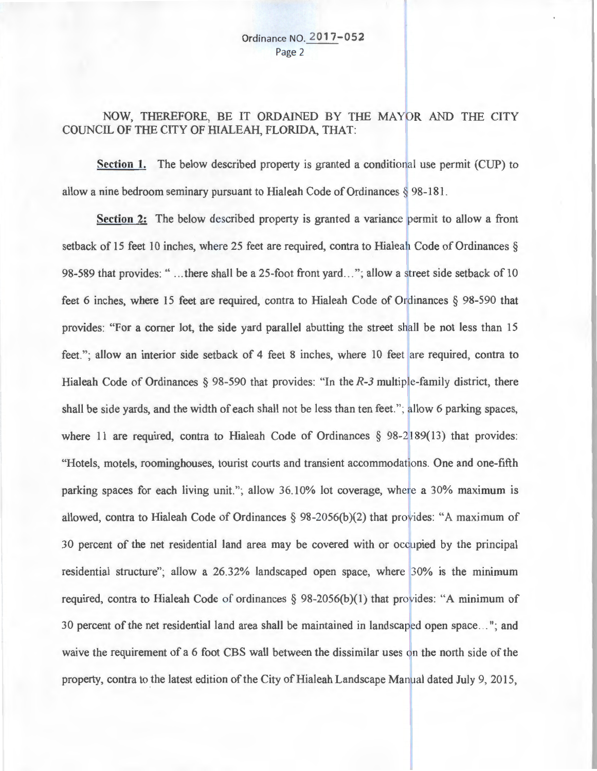# NOW, THEREFORE, BE IT ORDAINED BY THE MAYOR AND THE CITY COUNCIL OF THE CITY OF HIALEAH, FLORIDA, THAT:

**Section 1.** The below described property is granted a conditional use permit (CUP) to allow a nine bedroom seminary pursuant to Hialeah Code of Ordinances § 98-181 .

**Section 2:** The below described property is granted a variance permit to allow a front setback of 15 feet 10 inches, where 25 feet are required, contra to Hialeah Code of Ordinances § 98-589 that provides: "... there shall be a 25-foot front yard..."; allow a street side setback of 10 feet 6 inches, where 15 feet are required, contra to Hialeah Code of Ordinances § 98-590 that provides: "For a corner lot, the side yard parallel abutting the street shall be not less than 15 feet."; allow an interior side setback of 4 feet 8 inches, where 10 feet are required, contra to Hialeah Code of Ordinances  $\S$  98-590 that provides: "In the  $R$ -3 multiple-family district, there shall be side yards, and the width of each shall not be less than ten feet."; allow 6 parking spaces, where 11 are required, contra to Hialeah Code of Ordinances  $\S$  98-2189(13) that provides: "Hotels, motels, roominghouses, tourist courts and transient accommodations. One and one-fifth parking spaces for each living unit."; allow 36.10% lot coverage, where a 30% maximum is allowed, contra to Hialeah Code of Ordinances  $\S$  98-2056(b)(2) that provides: "A maximum of 30 percent of the net residential land area may be covered with or occupied by the principal residential structure"; allow a 26.32% landscaped open space, where 30% is the minimum required, contra to Hialeah Code of ordinances  $\S 98-2056(b)(1)$  that provides: "A minimum of 30 percent of the net residential land area shall be maintained in landscaped open space..."; and waive the requirement of a 6 foot CBS wall between the dissimilar uses on the north side of the property, contra to the latest edition of the City of Hialeah Landscape Manual dated July 9, 2015,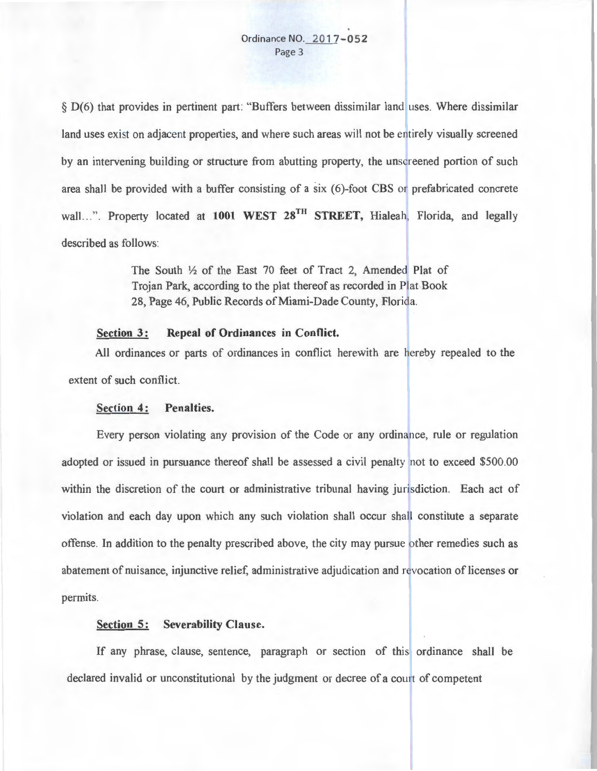§ D(6) that provides in pertinent part: "Buffers between dissimilar land uses. Where dissimilar land uses exist on adjacent properties, and where such areas will not be entirely visually screened by an intervening building or structure from abutting property, the unscreened portion of such area shall be provided with a buffer consisting of a six (6)-foot CBS or prefabricated concrete wall...". Property located at 1001 WEST 28<sup>TH</sup> STREET, Hialeah, Florida, and legally described as follows:

> The South  $1/2$  of the East 70 feet of Tract 2, Amended Plat of Trojan Park, according to the plat thereof as recorded in Plat Book 28, Page 46, Public Records of Miami-Dade County, Florida.

## **Section 3: Repeal of Ordinances in Conflict.**

All ordinances or parts of ordinances in conflict herewith are hereby repealed to the extent of such conflict.

#### **Section 4: Penalties.**

Every person violating any provision of the Code or any ordinance, rule or regulation adopted or issued in pursuance thereof shall be assessed a civil penalty not to exceed \$500.00 within the discretion of the court or administrative tribunal having jurisdiction. Each act of violation and each day upon which any such violation shall occur shall constitute a separate offense. In addition to the penalty prescribed above, the city may pursue other remedies such as abatement of nuisance, injunctive relief, administrative adjudication and revocation of licenses or permits.

### **Section 5: Severability Clause.**

If any phrase, clause, sentence, paragraph or section of this ordinance shall be declared invalid or unconstitutional by the judgment or decree of a court of competent